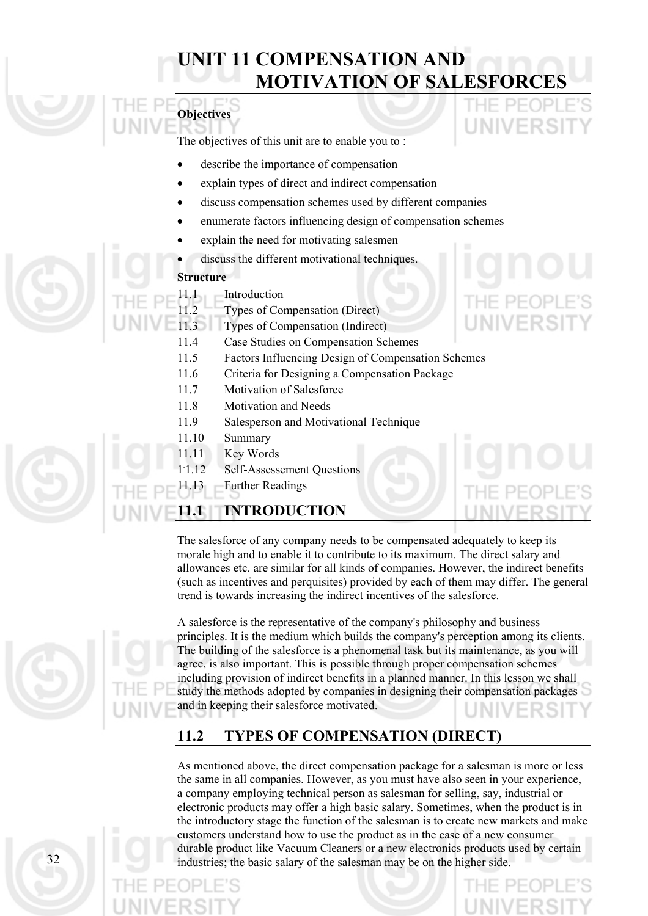# **UNIT 11 COMPENSATION AND MOTIVATION OF SALESFORCES**



The objectives of this unit are to enable you to :

- describe the importance of compensation
- explain types of direct and indirect compensation
- discuss compensation schemes used by different companies
- enumerate factors influencing design of compensation schemes
- explain the need for motivating salesmen
- discuss the different motivational techniques.

## **Structure**

•

- 11.1 Introduction
- 11.2 Types of Compensation (Direct)
- 11.3 Types of Compensation (Indirect)
	- 11.4 Case Studies on Compensation Schemes
	- 11.5 Factors Influencing Design of Compensation Schemes
	- 11.6 Criteria for Designing a Compensation Package
	- 11.7 Motivation of Salesforce
	- 11.8 Motivation and Needs
	- 11.9 Salesperson and Motivational Technique
	- 11.10 Summary
	- 11.11 Key Words
	- 1.12 Self-Assessement Questions
- 

## 11.13 Further Readings **11.1 INTRODUCTION**

The salesforce of any company needs to be compensated adequately to keep its morale high and to enable it to contribute to its maximum. The direct salary and allowances etc. are similar for all kinds of companies. However, the indirect benefits (such as incentives and perquisites) provided by each of them may differ. The general trend is towards increasing the indirect incentives of the salesforce.

A salesforce is the representative of the company's philosophy and business principles. It is the medium which builds the company's perception among its clients. The building of the salesforce is a phenomenal task but its maintenance, as you will agree, is also important. This is possible through proper compensation schemes including provision of indirect benefits in a planned manner. In this lesson we shall study the methods adopted by companies in designing their compensation packages and in keeping their salesforce motivated.

## **11.2 TYPES OF COMPENSATION (DIRECT)**

As mentioned above, the direct compensation package for a salesman is more or less the same in all companies. However, as you must have also seen in your experience, a company employing technical person as salesman for selling, say, industrial or electronic products may offer a high basic salary. Sometimes, when the product is in the introductory stage the function of the salesman is to create new markets and make customers understand how to use the product as in the case of a new consumer durable product like Vacuum Cleaners or a new electronics products used by certain 32 industries; the basic salary of the salesman may be on the higher side.

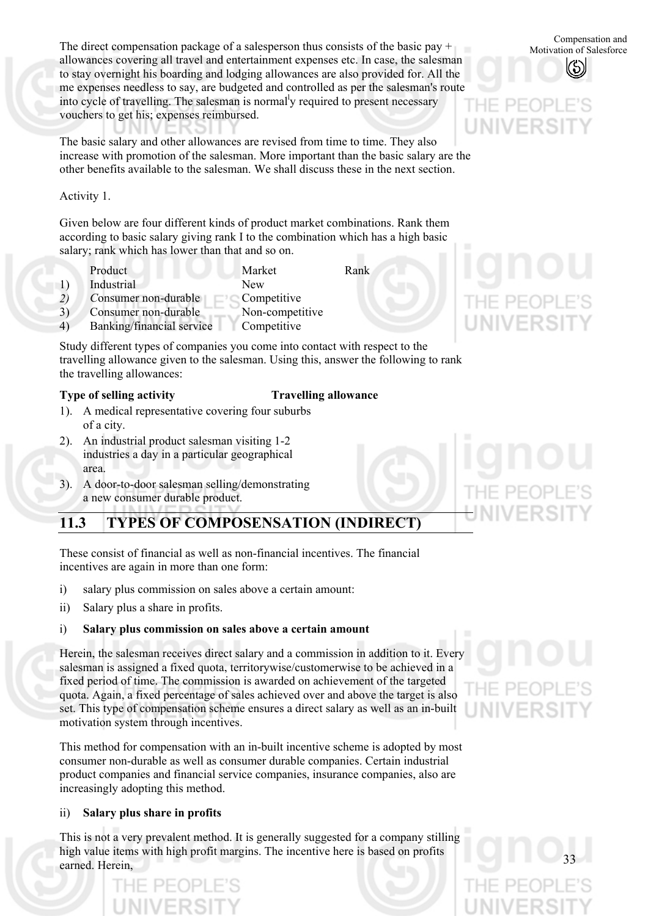The direct compensation package of a salesperson thus consists of the basic pay +  $\frac{\text{Compression and}}{\text{Motivation of Salesfore}}$ allowances covering all travel and entertainment expenses etc. In case, the salesman to stay overnight his boarding and lodging allowances are also provided for. All the me expenses needless to say, are budgeted and controlled as per the salesman's route into cycle of travelling. The salesman is normal<sup>l</sup>y required to present necessary vouchers to get his; expenses reimbursed. UNIVERS

The basic salary and other allowances are revised from time to time. They also increase with promotion of the salesman. More important than the basic salary are the other benefits available to the salesman. We shall discuss these in the next section.

## Activity 1.

Given below are four different kinds of product market combinations. Rank them according to basic salary giving rank I to the combination which has a high basic salary; rank which has lower than that and so on.

- Product Market Rank 1) Industrial New *2) C*onsumer non-durable Competitive 3) Consumer non-durable Non-competitive
- 4) Banking/financial service Competitive

Study different types of companies you come into contact with respect to the travelling allowance given to the salesman. Using this, answer the following to rank the travelling allowances:

### **Type of selling activity Travelling allowance**

- 1). A medical representative covering four suburbs of a city.
- 2). An industrial product salesman visiting 1-2 industries a day in a particular geographical area.
- 3). A door-to-door salesman selling/demonstrating a new consumer durable product.

## **11.3 TYPES OF COMPOSENSATION (INDIRECT)**

These consist of financial as well as non-financial incentives. The financial incentives are again in more than one form:

- i) salary plus commission on sales above a certain amount:
- ii) Salary plus a share in profits.

#### i) **Salary plus commission on sales above a certain amount**

Herein, the salesman receives direct salary and a commission in addition to it. Every salesman is assigned a fixed quota, territorywise/customerwise to be achieved in a fixed period of time. The commission is awarded on achievement of the targeted quota. Again, a fixed percentage of sales achieved over and above the target is also set. This type of compensation scheme ensures a direct salary as well as an in-built motivation system through incentives.

This method for compensation with an in-built incentive scheme is adopted by most consumer non-durable as well as consumer durable companies. Certain industrial product companies and financial service companies, insurance companies, also are increasingly adopting this method.

#### ii) **Salary plus share in profits**

This is not a very prevalent method. It is generally suggested for a company stilling high value items with high profit margins. The incentive here is based on profits earned. Herein,

Motivation of Salesforce

# UNIVERSI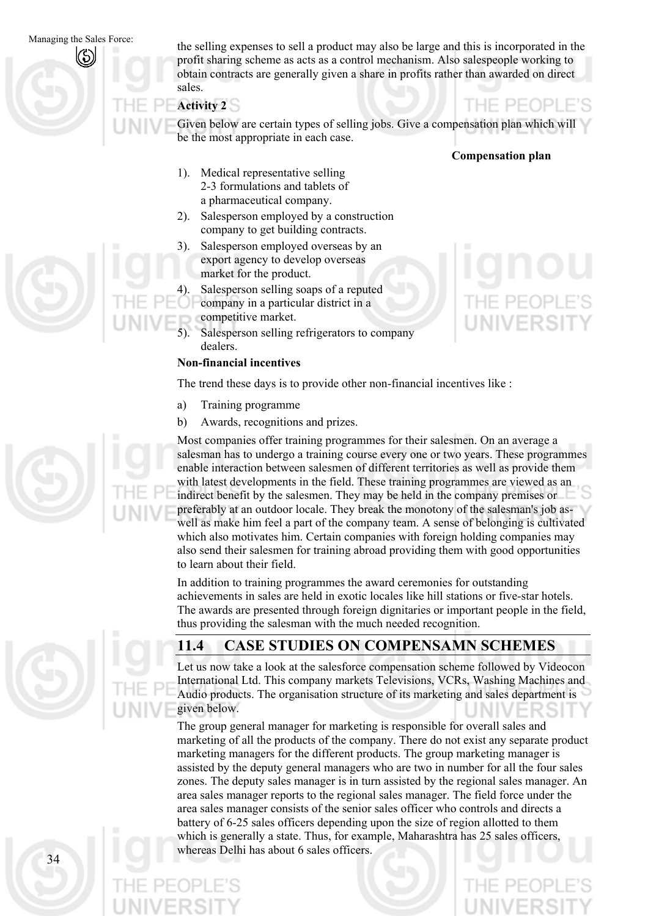Managing the Sales Force:

the selling expenses to sell a product may also be large and this is incorporated in the profit sharing scheme as acts as a control mechanism. Also salespeople working to obtain contracts are generally given a share in profits rather than awarded on direct sales.

## **Activity 2**

Given below are certain types of selling jobs. Give a compensation plan which will be the most appropriate in each case.

## **Compensation plan**

- 1). Medical representative selling 2-3 formulations and tablets of a pharmaceutical company.
- 2). Salesperson employed by a construction company to get building contracts.
- 3). Salesperson employed overseas by an export agency to develop overseas market for the product.
- Salesperson selling soaps of a reputed
	- company in a particular district in a
- competitive market.
- 5). Salesperson selling refrigerators to company dealers.

## **Non-financial incentives**

The trend these days is to provide other non-financial incentives like :

- a) Training programme
- b) Awards, recognitions and prizes.

Most companies offer training programmes for their salesmen. On an average a salesman has to undergo a training course every one or two years. These programmes enable interaction between salesmen of different territories as well as provide them with latest developments in the field. These training programmes are viewed as an indirect benefit by the salesmen. They may be held in the company premises or preferably at an outdoor locale. They break the monotony of the salesman's job aswell as make him feel a part of the company team. A sense of belonging is cultivated which also motivates him. Certain companies with foreign holding companies may also send their salesmen for training abroad providing them with good opportunities to learn about their field.

In addition to training programmes the award ceremonies for outstanding achievements in sales are held in exotic locales like hill stations or five-star hotels. The awards are presented through foreign dignitaries or important people in the field, thus providing the salesman with the much needed recognition.



## **11.4 CASE STUDIES ON COMPENSAMN SCHEMES**

Let us now take a look at the salesforce compensation scheme followed by Videocon International Ltd. This company markets Televisions, VCRs, Washing Machines and Audio products. The organisation structure of its marketing and sales department is given below.

The group general manager for marketing is responsible for overall sales and marketing of all the products of the company. There do not exist any separate product marketing managers for the different products. The group marketing manager is assisted by the deputy general managers who are two in number for all the four sales zones. The deputy sales manager is in turn assisted by the regional sales manager. An area sales manager reports to the regional sales manager. The field force under the area sales manager consists of the senior sales officer who controls and directs a battery of 6-25 sales officers depending upon the size of region allotted to them which is generally a state. Thus, for example, Maharashtra has 25 sales officers, whereas Delhi has about 6 sales officers.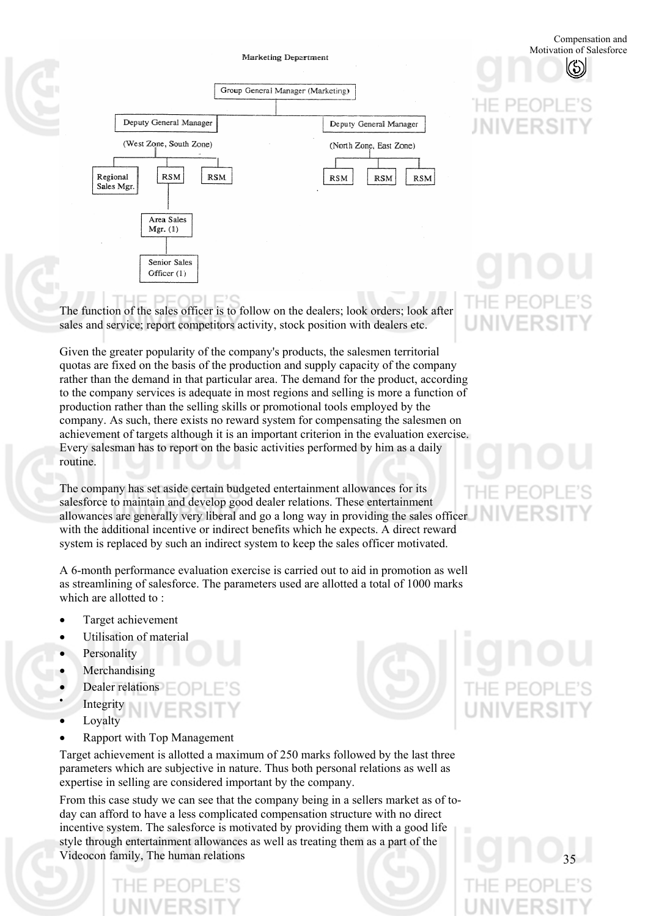#### **Marketing Department**





The function of the sales officer is to follow on the dealers; look orders; look after sales and service; report competitors activity, stock position with dealers etc.

Given the greater popularity of the company's products, the salesmen territorial quotas are fixed on the basis of the production and supply capacity of the company rather than the demand in that particular area. The demand for the product, according to the company services is adequate in most regions and selling is more a function of production rather than the selling skills or promotional tools employed by the company. As such, there exists no reward system for compensating the salesmen on achievement of targets although it is an important criterion in the evaluation exercise. Every salesman has to report on the basic activities performed by him as a daily routine.

The company has set aside certain budgeted entertainment allowances for its salesforce to maintain and develop good dealer relations. These entertainment allowances are generally very liberal and go a long way in providing the sales officer with the additional incentive or indirect benefits which he expects. A direct reward system is replaced by such an indirect system to keep the sales officer motivated.

A 6-month performance evaluation exercise is carried out to aid in promotion as well as streamlining of salesforce. The parameters used are allotted a total of 1000 marks which are allotted to :

- Target achievement
- Utilisation of material
- Personality
- Merchandising
- Dealer relations
- Integrity
- Loyalty
- Rapport with Top Management

Target achievement is allotted a maximum of 250 marks followed by the last three parameters which are subjective in nature. Thus both personal relations as well as expertise in selling are considered important by the company.

From this case study we can see that the company being in a sellers market as of today can afford to have a less complicated compensation structure with no direct incentive system. The salesforce is motivated by providing them with a good life style through entertainment allowances as well as treating them as a part of the Videocon family, The human relations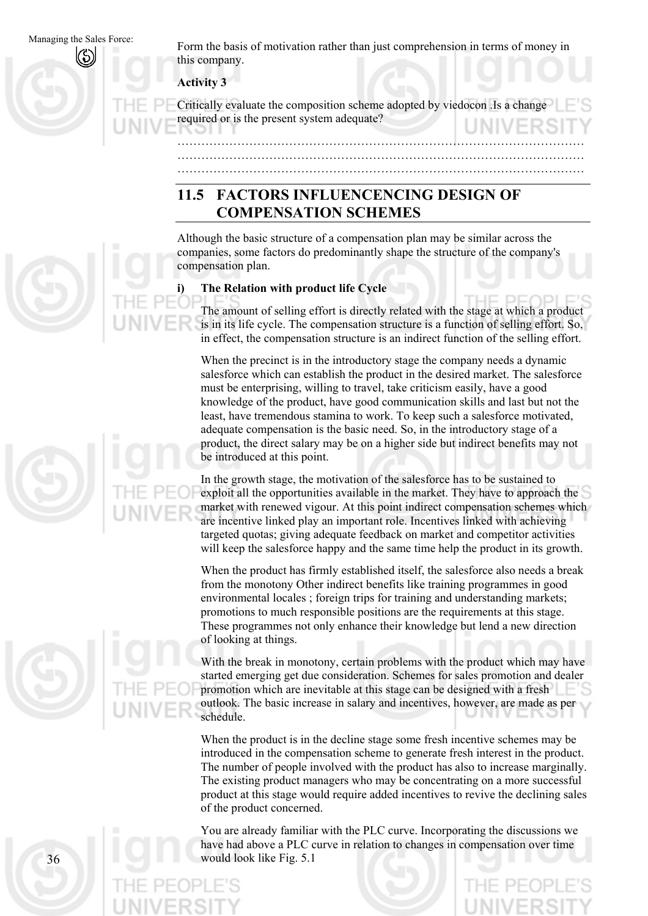Managing the Sales Force: Form the basis of motivation rather than just comprehension in terms of money in this company.

**Activity 3** 

Critically evaluate the composition scheme adopted by viedocon .Is a change required or is the present system adequate?

………………………………………………………………………………………… ………………………………………………………………………………………… …………………………………………………………………………………………

## **11.5 FACTORS INFLUENCENCING DESIGN OF COMPENSATION SCHEMES**

Although the basic structure of a compensation plan may be similar across the companies, some factors do predominantly shape the structure of the company's compensation plan.

## **i) The Relation with product life Cycle**

The amount of selling effort is directly related with the stage at which a product is in its life cycle. The compensation structure is a function of selling effort. So, in effect, the compensation structure is an indirect function of the selling effort.

When the precinct is in the introductory stage the company needs a dynamic salesforce which can establish the product in the desired market. The salesforce must be enterprising, willing to travel, take criticism easily, have a good knowledge of the product, have good communication skills and last but not the least, have tremendous stamina to work. To keep such a salesforce motivated, adequate compensation is the basic need. So, in the introductory stage of a product, the direct salary may be on a higher side but indirect benefits may not be introduced at this point.

In the growth stage, the motivation of the salesforce has to be sustained to exploit all the opportunities available in the market. They have to approach the market with renewed vigour. At this point indirect compensation schemes which are incentive linked play an important role. Incentives linked with achieving targeted quotas; giving adequate feedback on market and competitor activities will keep the salesforce happy and the same time help the product in its growth.

When the product has firmly established itself, the salesforce also needs a break from the monotony Other indirect benefits like training programmes in good environmental locales ; foreign trips for training and understanding markets; promotions to much responsible positions are the requirements at this stage. These programmes not only enhance their knowledge but lend a new direction of looking at things.

With the break in monotony, certain problems with the product which may have started emerging get due consideration. Schemes for sales promotion and dealer promotion which are inevitable at this stage can be designed with a fresh outlook. The basic increase in salary and incentives, however, are made as per schedule.

When the product is in the decline stage some fresh incentive schemes may be introduced in the compensation scheme to generate fresh interest in the product. The number of people involved with the product has also to increase marginally. The existing product managers who may be concentrating on a more successful product at this stage would require added incentives to revive the declining sales of the product concerned.

You are already familiar with the PLC curve. Incorporating the discussions we have had above a PLC curve in relation to changes in compensation over time would look like Fig. 5.1



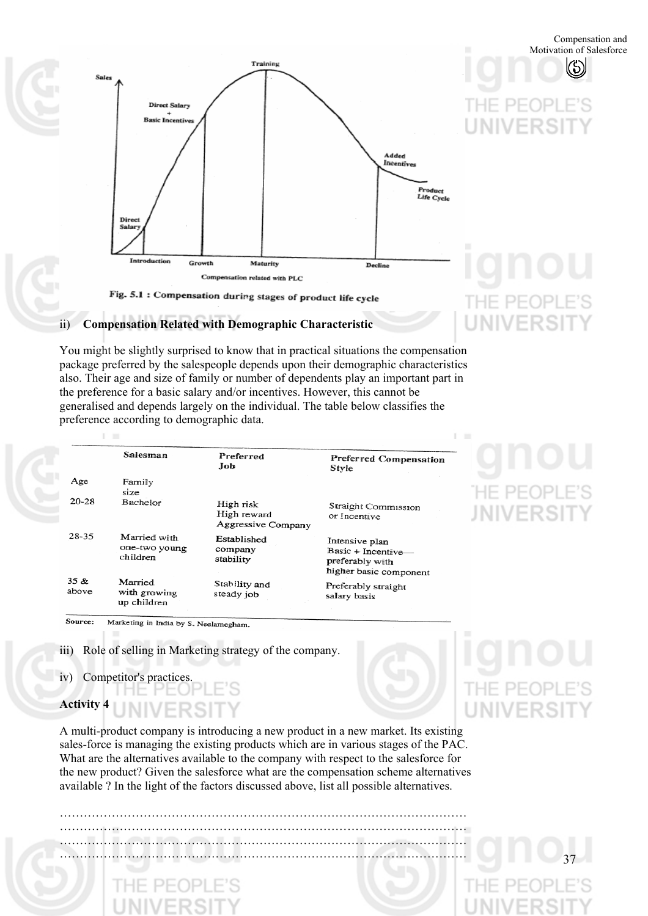(\$)



## Fig. 5.1 : Compensation during stages of product life cycle

### ii) **Compensation Related with Demographic Characteristic**

You might be slightly surprised to know that in practical situations the compensation package preferred by the salespeople depends upon their demographic characteristics also. Their age and size of family or number of dependents play an important part in the preference for a basic salary and/or incentives. However, this cannot be generalised and depends largely on the individual. The table below classifies the preference according to demographic data.

|               | Salesman                                  | Preferred<br>.Job                              | Preferred Compensation<br>Style                                                   |
|---------------|-------------------------------------------|------------------------------------------------|-----------------------------------------------------------------------------------|
| Age           | Family<br>size                            |                                                |                                                                                   |
| 20-28         | Bachelor                                  | High risk<br>High reward<br>Aggressive Company | Straight Commission<br>or Incentive                                               |
| $28 - 35$     | Married with<br>one-two young<br>children | Established<br>company<br>stability            | Intensive plan<br>Basic + Incentive-<br>preferably with<br>higher basic component |
| 35 &<br>above | Married<br>with growing<br>up children    | Stability and<br>steady job                    | Preferably straight<br>salary basis                                               |

# **HE PEOPL JNIVERSI**

**LINIVERSI** 

Source: Marketing in India by S. Neelamegham.

iii) Role of selling in Marketing strategy of the company.

iv) Competitor's practices.

**COL** 

**Activity 4** 

A multi-product company is introducing a new product in a new market. Its existing sales-force is managing the existing products which are in various stages of the PAC. What are the alternatives available to the company with respect to the salesforce for the new product? Given the salesforce what are the compensation scheme alternatives available ? In the light of the factors discussed above, list all possible alternatives.

………………………………………………………………………………………… ………………………………………………………………………………………… ………………………………………………………………………………………… …………………………………………………………………………………………

UNIVERSI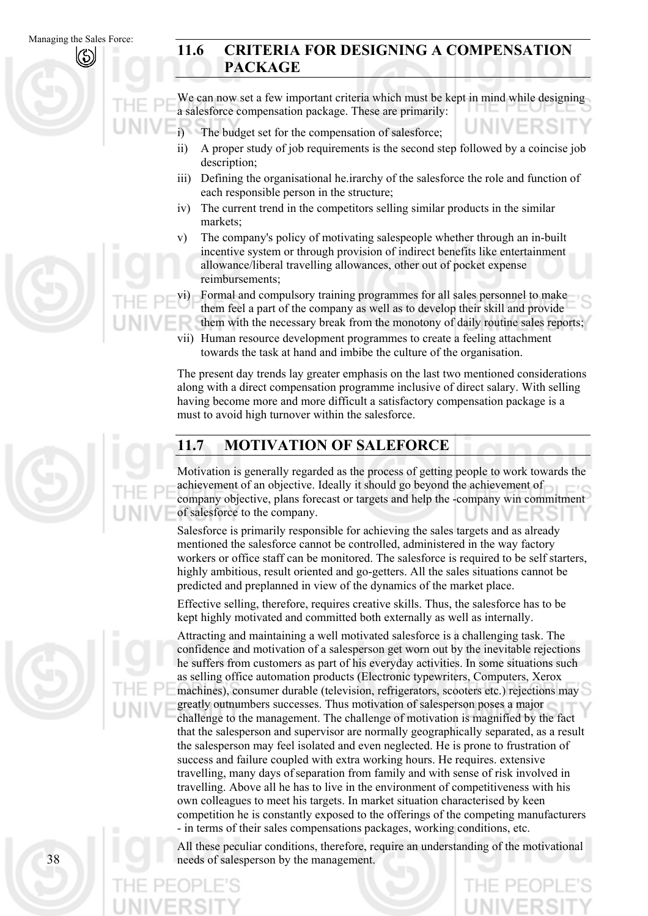## **11.6 CRITERIA FOR DESIGNING A COMPENSATION PACKAGE**

We can now set a few important criteria which must be kept in mind while designing a salesforce compensation package. These are primarily:

- i) The budget set for the compensation of salesforce;
- ii) A proper study of job requirements is the second step followed by a coincise job description;
- iii) Defining the organisational he.irarchy of the salesforce the role and function of each responsible person in the structure;
- iv) The current trend in the competitors selling similar products in the similar markets;
- v) The company's policy of motivating salespeople whether through an in-built incentive system or through provision of indirect benefits like entertainment allowance/liberal travelling allowances, other out of pocket expense reimbursements;

vi) Formal and compulsory training programmes for all sales personnel to make them feel a part of the company as well as to develop their skill and provide them with the necessary break from the monotony of daily routine sales reports;

vii) Human resource development programmes to create a feeling attachment towards the task at hand and imbibe the culture of the organisation.

The present day trends lay greater emphasis on the last two mentioned considerations along with a direct compensation programme inclusive of direct salary. With selling having become more and more difficult a satisfactory compensation package is a must to avoid high turnover within the salesforce.

## **11.7 MOTIVATION OF SALEFORCE**

Motivation is generally regarded as the process of getting people to work towards the achievement of an objective. Ideally it should go beyond the achievement of company objective, plans forecast or targets and help the -company win commitment of salesforce to the company.

Salesforce is primarily responsible for achieving the sales targets and as already mentioned the salesforce cannot be controlled, administered in the way factory workers or office staff can be monitored. The salesforce is required to be self starters, highly ambitious, result oriented and go-getters. All the sales situations cannot be predicted and preplanned in view of the dynamics of the market place.

Effective selling, therefore, requires creative skills. Thus, the salesforce has to be kept highly motivated and committed both externally as well as internally.

Attracting and maintaining a well motivated salesforce is a challenging task. The confidence and motivation of a salesperson get worn out by the inevitable rejections he suffers from customers as part of his everyday activities. In some situations such as selling office automation products (Electronic typewriters, Computers, Xerox machines), consumer durable (television, refrigerators, scooters etc.) rejections may greatly outnumbers successes. Thus motivation of salesperson poses a major challenge to the management. The challenge of motivation is magnified by the fact that the salesperson and supervisor are normally geographically separated, as a result the salesperson may feel isolated and even neglected. He is prone to frustration of success and failure coupled with extra working hours. He requires. extensive travelling, many days ofseparation from family and with sense of risk involved in travelling. Above all he has to live in the environment of competitiveness with his own colleagues to meet his targets. In market situation characterised by keen competition he is constantly exposed to the offerings of the competing manufacturers - in terms of their sales compensations packages, working conditions, etc.

All these peculiar conditions, therefore, require an understanding of the motivational needs of salesperson by the management.

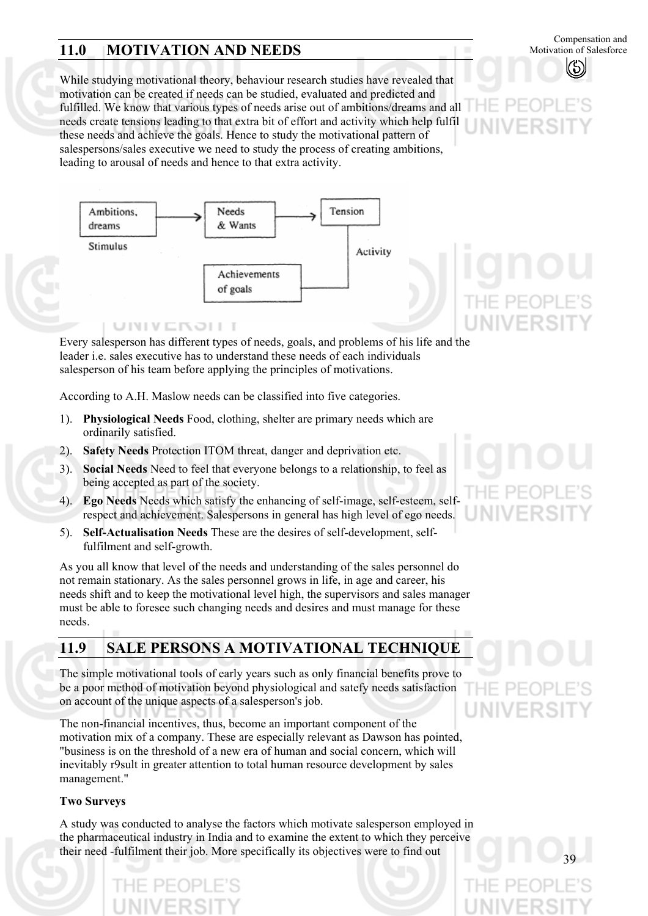## **11.0 MOTIVATION AND NEEDS**

Compensation and Motivation of Salesforce

While studying motivational theory, behaviour research studies have revealed that motivation can be created if needs can be studied, evaluated and predicted and fulfilled. We know that various types of needs arise out of ambitions/dreams and all needs create tensions leading to that extra bit of effort and activity which help fulfil these needs and achieve the goals. Hence to study the motivational pattern of salespersons/sales executive we need to study the process of creating ambitions, leading to arousal of needs and hence to that extra activity.



Every salesperson has different types of needs, goals, and problems of his life and the leader i.e. sales executive has to understand these needs of each individuals salesperson of his team before applying the principles of motivations.

According to A.H. Maslow needs can be classified into five categories.

- 1). **Physiological Needs** Food, clothing, shelter are primary needs which are ordinarily satisfied.
- 2). **Safety Needs** Protection ITOM threat, danger and deprivation etc.
- 3). **Social Needs** Need to feel that everyone belongs to a relationship, to feel as being accepted as part of the society.
- 4). **Ego Needs** Needs which satisfy the enhancing of self-image, self-esteem, selfrespect and achievement. Salespersons in general has high level of ego needs.
- 5). **Self-Actualisation Needs** These are the desires of self-development, selffulfilment and self-growth.

As you all know that level of the needs and understanding of the sales personnel do not remain stationary. As the sales personnel grows in life, in age and career, his needs shift and to keep the motivational level high, the supervisors and sales manager must be able to foresee such changing needs and desires and must manage for these needs.

## **11.9 SALE PERSONS A MOTIVATIONAL TECHNIQUE**

The simple motivational tools of early years such as only financial benefits prove to be a poor method of motivation beyond physiological and satefy needs satisfaction on account of the unique aspects of a salesperson's job.

The non-financial incentives, thus, become an important component of the motivation mix of a company. These are especially relevant as Dawson has pointed, "business is on the threshold of a new era of human and social concern, which will inevitably r9sult in greater attention to total human resource development by sales management."

## **Two Surveys**

A study was conducted to analyse the factors which motivate salesperson employed in the pharmaceutical industry in India and to examine the extent to which they perceive their need -fulfilment their job. More specifically its objectives were to find out



F PF **WIVERSI**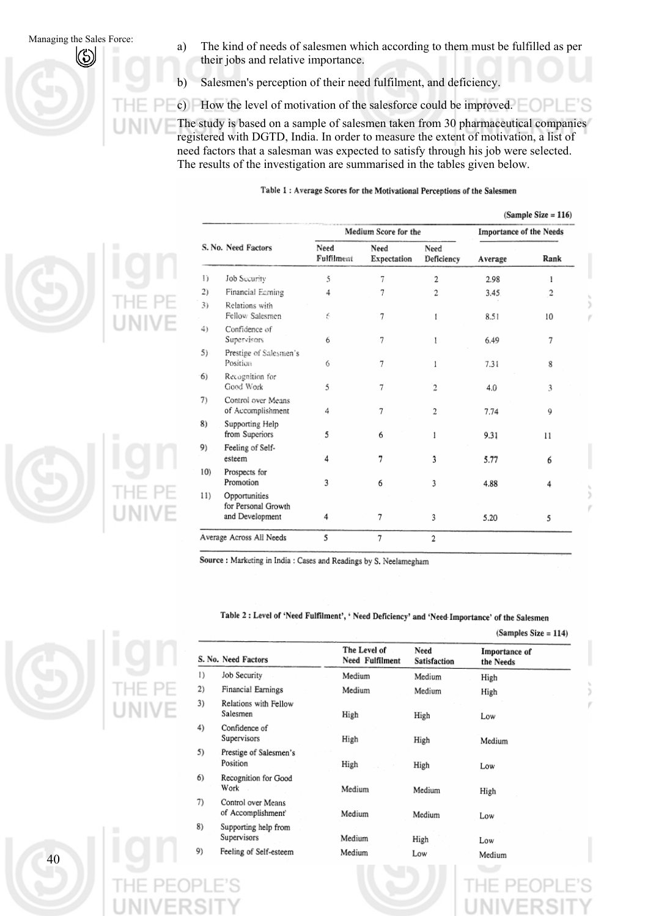Managing the Sales Force: (a) The kind of needs of salesmen which according to them must be fulfilled as per their iobs and relative importance their jobs and relative importance.

b) Salesmen's perception of their need fulfilment, and deficiency.

c) How the level of motivation of the salesforce could be improved.

The study is based on a sample of salesmen taken from 30 pharmaceutical companies registered with DGTD, India. In order to measure the extent of motivation, a list of need factors that a salesman was expected to satisfy through his job were selected. The results of the investigation are summarised in the tables given below.

#### Table 1: Average Scores for the Motivational Perceptions of the Salesmen

| $(Sample Size = 116)$ |  |  |  |  |
|-----------------------|--|--|--|--|
|-----------------------|--|--|--|--|



|     |                                                         |                    | Medium Score for the | <b>Importance of the Needs</b> |         |      |  |
|-----|---------------------------------------------------------|--------------------|----------------------|--------------------------------|---------|------|--|
|     | S. No. Need Factors                                     | Need<br>Fulfilment | Need<br>Expectation  | Need<br>Deficiency             | Average | Rank |  |
| Ð   | <b>Job Security</b>                                     | 5                  | 7                    | 2                              | 2.98    | 1    |  |
| 2)  | Financial Earning                                       | 4                  | 7                    | 2                              | 3.45    | 2    |  |
| 3)  | Relations with<br>Fellow Salesmen                       | 6                  | 7                    | 1                              | 8.51    | 10   |  |
| 4)  | Confidence of<br>Supervisors                            | 6                  | 7                    |                                | 6.49    | 7    |  |
| 5)  | Prestige of Salesmen's<br>Position                      | 6                  | 7                    |                                | 7.31    | 8    |  |
| 6)  | Recognition for<br>Good Work                            | 5                  | 7                    | 2                              | 4.0     | 3    |  |
| 7)  | Control over Means<br>of Accomplishment                 | 4                  | 7                    | 2                              | 7.74    | 9    |  |
| 8)  | Supporting Help<br>from Superiors                       | 5                  | 6                    | 1                              | 9.31    | 11   |  |
| 9)  | Feeling of Self-<br>esteem                              | 4                  | 7                    | 3                              | 5.77    | 6    |  |
| 10) | Prospects for<br>Promotion                              | 3                  | 6                    | 3                              | 4.88    | 4    |  |
| 11) | Opportunities<br>for Personal Growth<br>and Development | 4                  | 7                    | 3                              | 5.20    | 5    |  |
|     | Average Across All Needs                                | 5                  | 7                    | $\overline{2}$                 |         |      |  |

Source : Marketing in India : Cases and Readings by S. Neelamegham

#### Table 2 : Level of 'Need Fulfilment', ' Need Deficiency' and 'Need Importance' of the Salesmen

|    |                                          |                                 |                      | $(Samples Size = 114)$     |  |  |
|----|------------------------------------------|---------------------------------|----------------------|----------------------------|--|--|
|    | S. No. Need Factors                      | The Level of<br>Need Fulfilment | Need<br>Satisfaction | Importance of<br>the Needs |  |  |
| 1) | Job Security                             | Medium                          | Medium               | High                       |  |  |
| 2) | Financial Earnings                       | Medium                          | Medium               | High                       |  |  |
| 3) | Relations with Fellow<br>Salesmen        | High                            | High                 | Low                        |  |  |
| 4) | Confidence of<br>Supervisors             | High                            | High                 | Medium                     |  |  |
| 5) | Prestige of Salesmen's<br>Position       | High                            | High                 | Low                        |  |  |
| 6) | Recognition for Good<br>Work             | Medium                          | Medium               | High                       |  |  |
| 7) | Control over Means<br>of Accomplishment' | Medium                          | Medium               | Low                        |  |  |
| 8) | Supporting help from<br>Supervisors      | Medium                          | High                 | Low                        |  |  |
| 9) | Feeling of Self-esteem                   | Medium                          | Low                  | Medium                     |  |  |
|    |                                          |                                 |                      |                            |  |  |

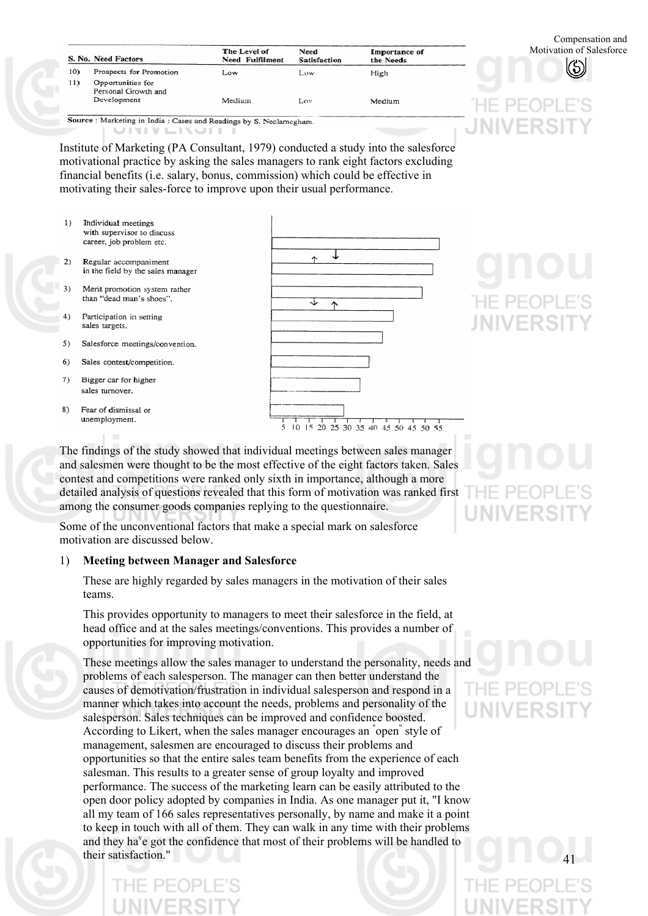|     | S. No. Need Factors                      | The Level of<br>Need Fulfilment | Need<br><b>Satisfaction</b> | Importance of<br>the Needs |
|-----|------------------------------------------|---------------------------------|-----------------------------|----------------------------|
| 10) | Prospects for Promotion                  | Low                             | Low                         | High                       |
| 11) | Opportunities for<br>Personal Growth and |                                 |                             |                            |
|     | Development                              | Medium                          | Lov                         | Medium                     |

UNIVEROIT

Institute of Marketing (PA Consultant, 1979) conducted a study into the salesforce motivational practice by asking the sales managers to rank eight factors excluding financial benefits (i.e. salary, bonus, commission) which could be effective in motivating their sales-force to improve upon their usual performance.

- Individual meetings  $1)$ with supervisor to discuss career, job problem etc.
- in the field by the sales manager  $\mathbf{a}$ Merit promotion system rather than "dead man's shoes".

Regular accompaniment

- Participation in setting sales targets.
- $5)$ Salesforce meetings/convention.
- $6)$ Sales contest/competition.
- $7)$ Bigger car for higher sales turnover.
- 8) Fear of dismissal or unemployment.



INIVERS

The findings of the study showed that individual meetings between sales manager and salesmen were thought to be the most effective of the eight factors taken. Sales contest and competitions were ranked only sixth in importance, although a more detailed analysis of questions revealed that this form of motivation was ranked first among the consumer goods companies replying to the questionnaire.

Some of the unconventional factors that make a special mark on salesforce motivation are discussed below.

### 1) **Meeting between Manager and Salesforce**

These are highly regarded by sales managers in the motivation of their sales teams.

This provides opportunity to managers to meet their salesforce in the field, at head office and at the sales meetings/conventions. This provides a number of opportunities for improving motivation.

These meetings allow the sales manager to understand the personality, needs and problems of each salesperson. The manager can then better understand the causes of demotivation/frustration in individual salesperson and respond in a manner which takes into account the needs, problems and personality of the salesperson. Sales techniques can be improved and confidence boosted. According to Likert, when the sales manager encourages an " open" style of management, salesmen are encouraged to discuss their problems and opportunities so that the entire sales team benefits from the experience of each salesman. This results to a greater sense of group loyalty and improved performance. The success of the marketing learn can be easily attributed to the open door policy adopted by companies in India. As one manager put it, "I know all my team of 166 sales representatives personally, by name and make it a point to keep in touch with all of them. They can walk in any time with their problems and they ha<sup>v</sup>e got the confidence that most of their problems will be handled to their satisfaction."

41

Motivation of Salesforce

Compensation and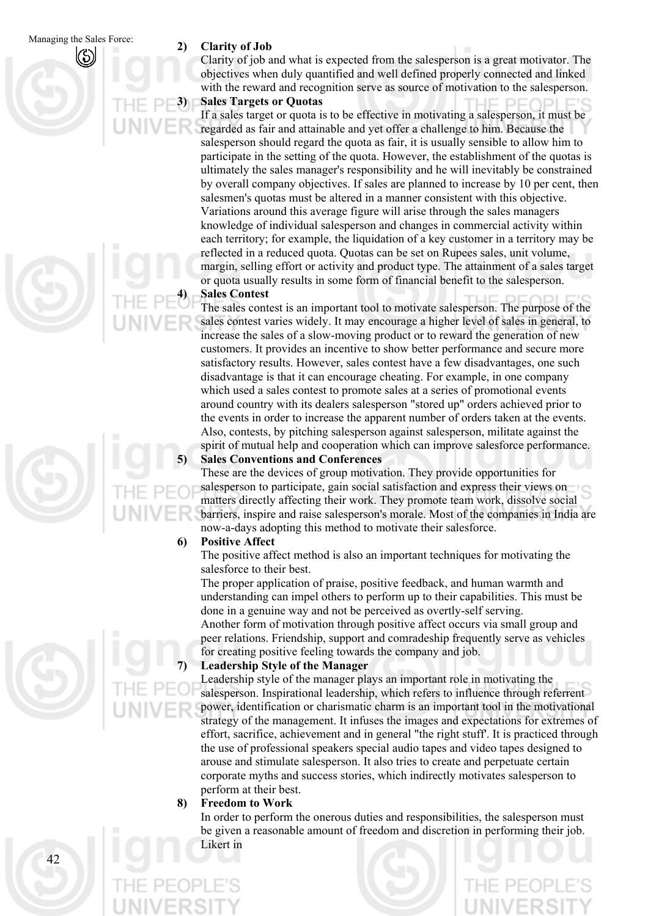Clarity of job and what is expected from the salesperson is a great motivator. The objectives when duly quantified and well defined properly connected and linked with the reward and recognition serve as source of motivation to the salesperson.

**3) Sales Targets or Quotas** 

If a sales target or quota is to be effective in motivating a salesperson, it must be regarded as fair and attainable and yet offer a challenge to him. Because the salesperson should regard the quota as fair, it is usually sensible to allow him to participate in the setting of the quota. However, the establishment of the quotas is ultimately the sales manager's responsibility and he will inevitably be constrained by overall company objectives. If sales are planned to increase by 10 per cent, then salesmen's quotas must be altered in a manner consistent with this objective. Variations around this average figure will arise through the sales managers knowledge of individual salesperson and changes in commercial activity within each territory; for example, the liquidation of a key customer in a territory may be reflected in a reduced quota. Quotas can be set on Rupees sales, unit volume, margin, selling effort or activity and product type. The attainment of a sales target or quota usually results in some form of financial benefit to the salesperson.

### **4) Sales Contest**

The sales contest is an important tool to motivate salesperson. The purpose of the sales contest varies widely. It may encourage a higher level of sales in general, to increase the sales of a slow-moving product or to reward the generation of new customers. It provides an incentive to show better performance and secure more satisfactory results. However, sales contest have a few disadvantages, one such disadvantage is that it can encourage cheating. For example, in one company which used a sales contest to promote sales at a series of promotional events around country with its dealers salesperson "stored up" orders achieved prior to the events in order to increase the apparent number of orders taken at the events. Also, contests, by pitching salesperson against salesperson, militate against the spirit of mutual help and cooperation which can improve salesforce performance. **5) Sales Conventions and Conferences** 

## These are the devices of group motivation. They provide opportunities for salesperson to participate, gain social satisfaction and express their views on matters directly affecting their work. They promote team work, dissolve social barriers, inspire and raise salesperson's morale. Most of the companies in India are now-a-days adopting this method to motivate their salesforce.

## **6) Positive Affect**

The positive affect method is also an important techniques for motivating the salesforce to their best.

The proper application of praise, positive feedback, and human warmth and understanding can impel others to perform up to their capabilities. This must be done in a genuine way and not be perceived as overtly-self serving.

Another form of motivation through positive affect occurs via small group and peer relations. Friendship, support and comradeship frequently serve as vehicles for creating positive feeling towards the company and job.

## **7) Leadership Style of the Manager**

Leadership style of the manager plays an important role in motivating the salesperson. Inspirational leadership, which refers to influence through referrent power, identification or charismatic charm is an important tool in the motivational strategy of the management. It infuses the images and expectations for extremes of effort, sacrifice, achievement and in general "the right stuff'. It is practiced through the use of professional speakers special audio tapes and video tapes designed to arouse and stimulate salesperson. It also tries to create and perpetuate certain corporate myths and success stories, which indirectly motivates salesperson to perform at their best.

## **8) Freedom to Work**

In order to perform the onerous duties and responsibilities, the salesperson must be given a reasonable amount of freedom and discretion in performing their job. Likert in



 $\Delta$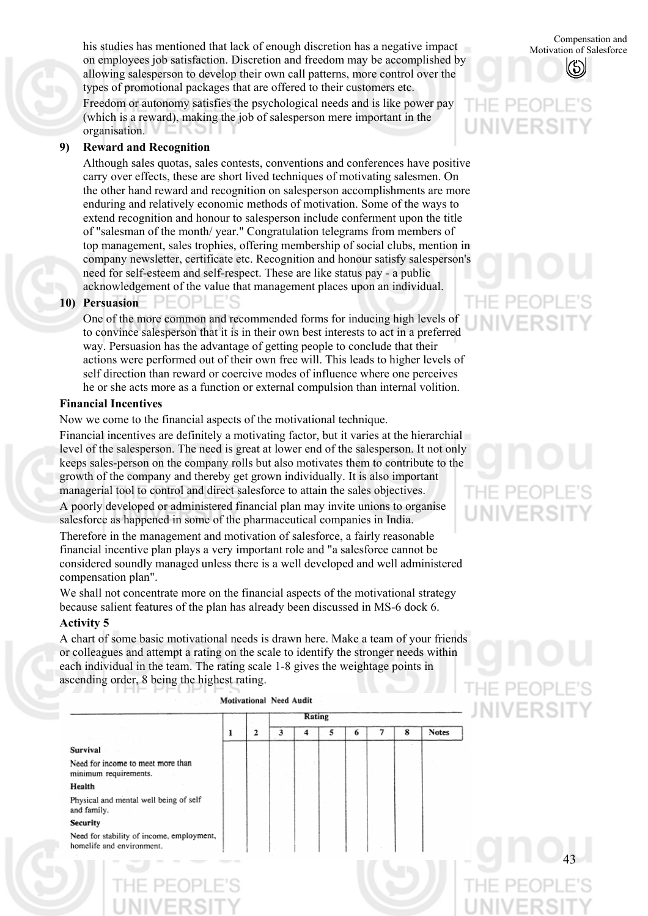his studies has mentioned that lack of enough discretion has a negative impact<br>Motivation of Salesforce on employees job satisfaction. Discretion and freedom may be accomplished by allowing salesperson to develop their own call patterns, more control over the types of promotional packages that are offered to their customers etc.

Freedom or autonomy satisfies the psychological needs and is like power pay (which is a reward), making the job of salesperson mere important in the organisation.

## **9) Reward and Recognition**

Although sales quotas, sales contests, conventions and conferences have positive carry over effects, these are short lived techniques of motivating salesmen. On the other hand reward and recognition on salesperson accomplishments are more enduring and relatively economic methods of motivation. Some of the ways to extend recognition and honour to salesperson include conferment upon the title of "salesman of the month/ year." Congratulation telegrams from members of top management, sales trophies, offering membership of social clubs, mention in company newsletter, certificate etc. Recognition and honour satisfy salesperson's need for self-esteem and self-respect. These are like status pay - a public acknowledgement of the value that management places upon an individual.

## **10) Persuasion**

One of the more common and recommended forms for inducing high levels of to convince salesperson that it is in their own best interests to act in a preferred way. Persuasion has the advantage of getting people to conclude that their actions were performed out of their own free will. This leads to higher levels of self direction than reward or coercive modes of influence where one perceives he or she acts more as a function or external compulsion than internal volition.

## **Financial Incentives**

Now we come to the financial aspects of the motivational technique.

Financial incentives are definitely a motivating factor, but it varies at the hierarchial level of the salesperson. The need is great at lower end of the salesperson. It not only keeps sales-person on the company rolls but also motivates them to contribute to the growth of the company and thereby get grown individually. It is also important managerial tool to control and direct salesforce to attain the sales objectives. A poorly developed or administered financial plan may invite unions to organise salesforce as happened in some of the pharmaceutical companies in India.

Therefore in the management and motivation of salesforce, a fairly reasonable financial incentive plan plays a very important role and "a salesforce cannot be considered soundly managed unless there is a well developed and well administered compensation plan".

We shall not concentrate more on the financial aspects of the motivational strategy because salient features of the plan has already been discussed in MS-6 dock 6.

### **Activity 5**

A chart of some basic motivational needs is drawn here. Make a team of your friends or colleagues and attempt a rating on the scale to identify the stronger needs within each individual in the team. The rating scale 1-8 gives the weightage points in ascending order, 8 being the highest rating.

Motivational Need Audit



Motivation of Salesforce

# **JNIVERS**

# $P H$

IE PEOI

**JNIVERS**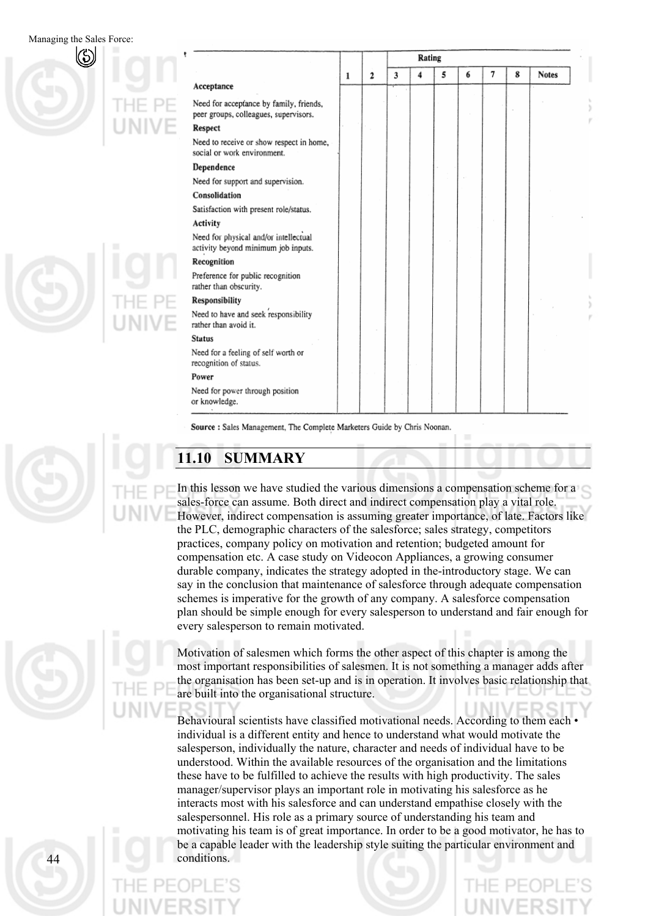Managing the Sales Force:

| Acceptance<br>Need for acceptance by family, friends,<br>peer groups, colleagues, supervisors.<br><b>Respect</b><br>Need to receive or show respect in home,<br>social or work environment.<br>Dependence<br>Need for support and supervision.<br>Consolidation<br>Satisfaction with present role/status. |   |                | Rating |   |   |   |   |   |              |
|-----------------------------------------------------------------------------------------------------------------------------------------------------------------------------------------------------------------------------------------------------------------------------------------------------------|---|----------------|--------|---|---|---|---|---|--------------|
|                                                                                                                                                                                                                                                                                                           | 1 | $\overline{2}$ | 3      | 4 | 5 | 6 | 7 | 8 | <b>Notes</b> |
|                                                                                                                                                                                                                                                                                                           |   |                |        |   |   |   |   |   |              |
|                                                                                                                                                                                                                                                                                                           |   |                |        |   |   |   |   |   |              |
|                                                                                                                                                                                                                                                                                                           |   |                |        |   |   |   |   |   |              |
|                                                                                                                                                                                                                                                                                                           |   |                |        |   |   |   |   |   |              |
|                                                                                                                                                                                                                                                                                                           |   |                |        |   |   |   |   |   |              |
|                                                                                                                                                                                                                                                                                                           |   |                |        |   |   |   |   |   |              |
|                                                                                                                                                                                                                                                                                                           |   |                |        |   |   |   |   |   |              |
|                                                                                                                                                                                                                                                                                                           |   |                |        |   |   |   |   |   |              |
| Activity                                                                                                                                                                                                                                                                                                  |   |                |        |   |   |   |   |   |              |
| Need for physical and/or intellectual<br>activity beyond minimum job inputs.                                                                                                                                                                                                                              |   |                |        |   |   |   |   |   |              |
| Recognition                                                                                                                                                                                                                                                                                               |   |                |        |   |   |   |   |   |              |
| Preference for public recognition<br>rather than obscurity.                                                                                                                                                                                                                                               |   |                |        |   |   |   |   |   |              |
| Responsibility                                                                                                                                                                                                                                                                                            |   |                |        |   |   |   |   |   |              |
| Need to have and seek responsibility<br>rather than avoid it.                                                                                                                                                                                                                                             |   |                |        |   |   |   |   |   |              |
| <b>Status</b>                                                                                                                                                                                                                                                                                             |   |                |        |   |   |   |   |   |              |
| Need for a feeling of self worth or<br>recognition of status.                                                                                                                                                                                                                                             |   |                |        |   |   |   |   |   |              |
| Power                                                                                                                                                                                                                                                                                                     |   |                |        |   |   |   |   |   |              |
| Need for power through position<br>or knowledge.                                                                                                                                                                                                                                                          |   |                |        |   |   |   |   |   |              |

Source : Sales Management, The Complete Marketers Guide by Chris Noonan.

## **11.10 SUMMARY**

In this lesson we have studied the various dimensions a compensation scheme for a sales-force can assume. Both direct and indirect compensation play a vital role. However, indirect compensation is assuming greater importance, of late. Factors like the PLC, demographic characters of the salesforce; sales strategy, competitors practices, company policy on motivation and retention; budgeted amount for compensation etc. A case study on Videocon Appliances, a growing consumer durable company, indicates the strategy adopted in the-introductory stage. We can say in the conclusion that maintenance of salesforce through adequate compensation schemes is imperative for the growth of any company. A salesforce compensation plan should be simple enough for every salesperson to understand and fair enough for every salesperson to remain motivated.

Motivation of salesmen which forms the other aspect of this chapter is among the most important responsibilities of salesmen. It is not something a manager adds after the organisation has been set-up and is in operation. It involves basic relationship that are built into the organisational structure.

Behavioural scientists have classified motivational needs. According to them each  $\cdot$ individual is a different entity and hence to understand what would motivate the salesperson, individually the nature, character and needs of individual have to be understood. Within the available resources of the organisation and the limitations these have to be fulfilled to achieve the results with high productivity. The sales manager/supervisor plays an important role in motivating his salesforce as he interacts most with his salesforce and can understand empathise closely with the salespersonnel. His role as a primary source of understanding his team and motivating his team is of great importance. In order to be a good motivator, he has to be a capable leader with the leadership style suiting the particular environment and conditions.